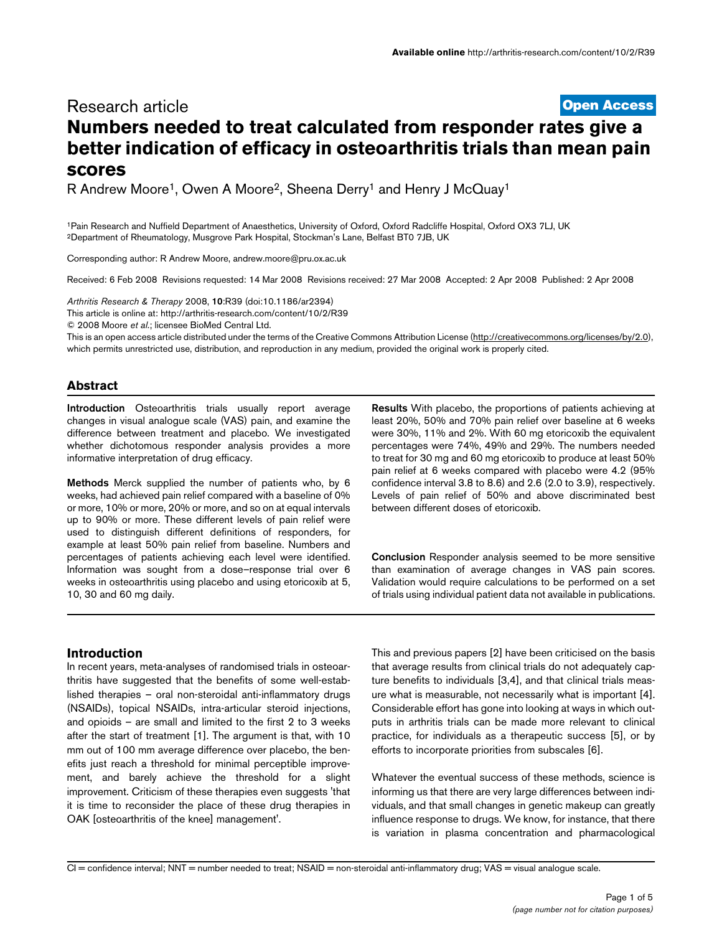# **[Open Access](http://www.biomedcentral.com/info/about/charter/)** Research article **Numbers needed to treat calculated from responder rates give a better indication of efficacy in osteoarthritis trials than mean pain scores**

R Andrew Moore<sup>1</sup>, Owen A Moore<sup>2</sup>, Sheena Derry<sup>1</sup> and Henry J McQuay<sup>1</sup>

1Pain Research and Nuffield Department of Anaesthetics, University of Oxford, Oxford Radcliffe Hospital, Oxford OX3 7LJ, UK 2Department of Rheumatology, Musgrove Park Hospital, Stockman's Lane, Belfast BT0 7JB, UK

Corresponding author: R Andrew Moore, andrew.moore@pru.ox.ac.uk

Received: 6 Feb 2008 Revisions requested: 14 Mar 2008 Revisions received: 27 Mar 2008 Accepted: 2 Apr 2008 Published: 2 Apr 2008

*Arthritis Research & Therapy* 2008, **10**:R39 (doi:10.1186/ar2394) [This article is online at: http://arthritis-research.com/content/10/2/R39](http://arthritis-research.com/content/10/2/R39) © 2008 Moore *et al*.; licensee BioMed Central Ltd.

This is an open access article distributed under the terms of the Creative Commons Attribution License [\(http://creativecommons.org/licenses/by/2.0\)](http://creativecommons.org/licenses/by/2.0), which permits unrestricted use, distribution, and reproduction in any medium, provided the original work is properly cited.

## **Abstract**

**Introduction** Osteoarthritis trials usually report average changes in visual analogue scale (VAS) pain, and examine the difference between treatment and placebo. We investigated whether dichotomous responder analysis provides a more informative interpretation of drug efficacy.

**Methods** Merck supplied the number of patients who, by 6 weeks, had achieved pain relief compared with a baseline of 0% or more, 10% or more, 20% or more, and so on at equal intervals up to 90% or more. These different levels of pain relief were used to distinguish different definitions of responders, for example at least 50% pain relief from baseline. Numbers and percentages of patients achieving each level were identified. Information was sought from a dose–response trial over 6 weeks in osteoarthritis using placebo and using etoricoxib at 5, 10, 30 and 60 mg daily.

**Results** With placebo, the proportions of patients achieving at least 20%, 50% and 70% pain relief over baseline at 6 weeks were 30%, 11% and 2%. With 60 mg etoricoxib the equivalent percentages were 74%, 49% and 29%. The numbers needed to treat for 30 mg and 60 mg etoricoxib to produce at least 50% pain relief at 6 weeks compared with placebo were 4.2 (95% confidence interval 3.8 to 8.6) and 2.6 (2.0 to 3.9), respectively. Levels of pain relief of 50% and above discriminated best between different doses of etoricoxib.

**Conclusion** Responder analysis seemed to be more sensitive than examination of average changes in VAS pain scores. Validation would require calculations to be performed on a set of trials using individual patient data not available in publications.

## **Introduction**

In recent years, meta-analyses of randomised trials in osteoarthritis have suggested that the benefits of some well-established therapies – oral non-steroidal anti-inflammatory drugs (NSAIDs), topical NSAIDs, intra-articular steroid injections, and opioids – are small and limited to the first 2 to 3 weeks after the start of treatment [1]. The argument is that, with 10 mm out of 100 mm average difference over placebo, the benefits just reach a threshold for minimal perceptible improvement, and barely achieve the threshold for a slight improvement. Criticism of these therapies even suggests 'that it is time to reconsider the place of these drug therapies in OAK [osteoarthritis of the knee] management'.

This and previous papers [2] have been criticised on the basis that average results from clinical trials do not adequately capture benefits to individuals [3,4], and that clinical trials measure what is measurable, not necessarily what is important [4]. Considerable effort has gone into looking at ways in which outputs in arthritis trials can be made more relevant to clinical practice, for individuals as a therapeutic success [5], or by efforts to incorporate priorities from subscales [6].

Whatever the eventual success of these methods, science is informing us that there are very large differences between individuals, and that small changes in genetic makeup can greatly influence response to drugs. We know, for instance, that there is variation in plasma concentration and pharmacological

CI = confidence interval; NNT = number needed to treat; NSAID = non-steroidal anti-inflammatory drug; VAS = visual analogue scale.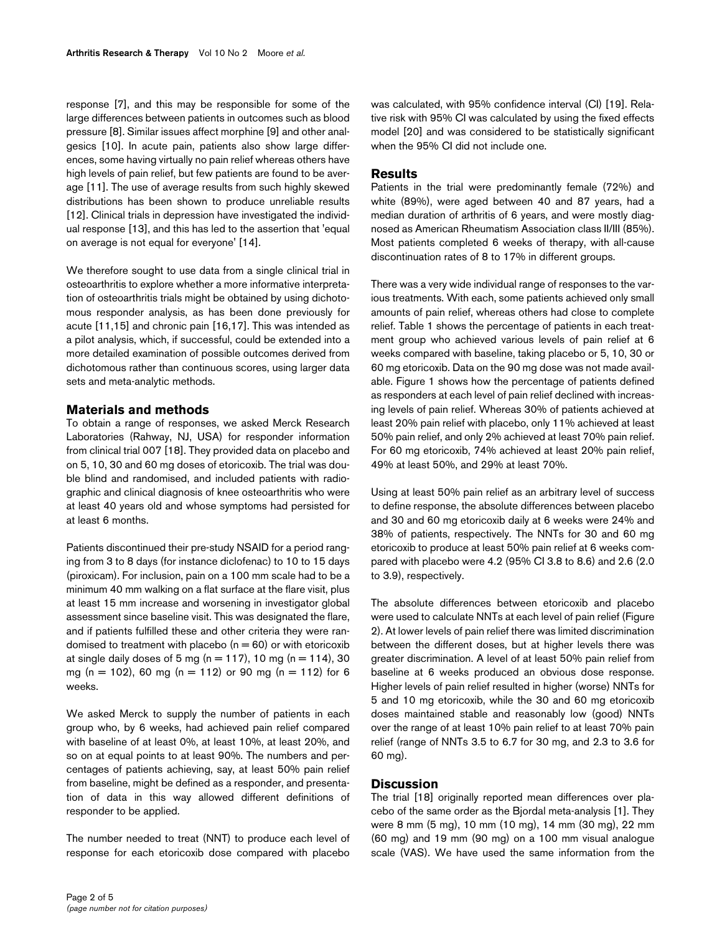response [7], and this may be responsible for some of the large differences between patients in outcomes such as blood pressure [8]. Similar issues affect morphine [9] and other analgesics [10]. In acute pain, patients also show large differences, some having virtually no pain relief whereas others have high levels of pain relief, but few patients are found to be average [11]. The use of average results from such highly skewed distributions has been shown to produce unreliable results [12]. Clinical trials in depression have investigated the individual response [13], and this has led to the assertion that 'equal on average is not equal for everyone' [14].

We therefore sought to use data from a single clinical trial in osteoarthritis to explore whether a more informative interpretation of osteoarthritis trials might be obtained by using dichotomous responder analysis, as has been done previously for acute [11,15] and chronic pain [16,17]. This was intended as a pilot analysis, which, if successful, could be extended into a more detailed examination of possible outcomes derived from dichotomous rather than continuous scores, using larger data sets and meta-analytic methods.

#### **Materials and methods**

To obtain a range of responses, we asked Merck Research Laboratories (Rahway, NJ, USA) for responder information from clinical trial 007 [18]. They provided data on placebo and on 5, 10, 30 and 60 mg doses of etoricoxib. The trial was double blind and randomised, and included patients with radiographic and clinical diagnosis of knee osteoarthritis who were at least 40 years old and whose symptoms had persisted for at least 6 months.

Patients discontinued their pre-study NSAID for a period ranging from 3 to 8 days (for instance diclofenac) to 10 to 15 days (piroxicam). For inclusion, pain on a 100 mm scale had to be a minimum 40 mm walking on a flat surface at the flare visit, plus at least 15 mm increase and worsening in investigator global assessment since baseline visit. This was designated the flare, and if patients fulfilled these and other criteria they were randomised to treatment with placebo ( $n = 60$ ) or with etoricoxib at single daily doses of 5 mg ( $n = 117$ ), 10 mg ( $n = 114$ ), 30 mg (n = 102), 60 mg (n = 112) or 90 mg (n = 112) for 6 weeks.

We asked Merck to supply the number of patients in each group who, by 6 weeks, had achieved pain relief compared with baseline of at least 0%, at least 10%, at least 20%, and so on at equal points to at least 90%. The numbers and percentages of patients achieving, say, at least 50% pain relief from baseline, might be defined as a responder, and presentation of data in this way allowed different definitions of responder to be applied.

The number needed to treat (NNT) to produce each level of response for each etoricoxib dose compared with placebo

#### **Results**

Patients in the trial were predominantly female (72%) and white (89%), were aged between 40 and 87 years, had a median duration of arthritis of 6 years, and were mostly diagnosed as American Rheumatism Association class II/III (85%). Most patients completed 6 weeks of therapy, with all-cause discontinuation rates of 8 to 17% in different groups.

There was a very wide individual range of responses to the various treatments. With each, some patients achieved only small amounts of pain relief, whereas others had close to complete relief. Table 1 shows the percentage of patients in each treatment group who achieved various levels of pain relief at 6 weeks compared with baseline, taking placebo or 5, 10, 30 or 60 mg etoricoxib. Data on the 90 mg dose was not made available. Figure 1 shows how the percentage of patients defined as responders at each level of pain relief declined with increasing levels of pain relief. Whereas 30% of patients achieved at least 20% pain relief with placebo, only 11% achieved at least 50% pain relief, and only 2% achieved at least 70% pain relief. For 60 mg etoricoxib, 74% achieved at least 20% pain relief, 49% at least 50%, and 29% at least 70%.

Using at least 50% pain relief as an arbitrary level of success to define response, the absolute differences between placebo and 30 and 60 mg etoricoxib daily at 6 weeks were 24% and 38% of patients, respectively. The NNTs for 30 and 60 mg etoricoxib to produce at least 50% pain relief at 6 weeks compared with placebo were 4.2 (95% CI 3.8 to 8.6) and 2.6 (2.0 to 3.9), respectively.

The absolute differences between etoricoxib and placebo were used to calculate NNTs at each level of pain relief (Figure 2). At lower levels of pain relief there was limited discrimination between the different doses, but at higher levels there was greater discrimination. A level of at least 50% pain relief from baseline at 6 weeks produced an obvious dose response. Higher levels of pain relief resulted in higher (worse) NNTs for 5 and 10 mg etoricoxib, while the 30 and 60 mg etoricoxib doses maintained stable and reasonably low (good) NNTs over the range of at least 10% pain relief to at least 70% pain relief (range of NNTs 3.5 to 6.7 for 30 mg, and 2.3 to 3.6 for 60 mg).

## **Discussion**

The trial [18] originally reported mean differences over placebo of the same order as the Bjordal meta-analysis [1]. They were 8 mm (5 mg), 10 mm (10 mg), 14 mm (30 mg), 22 mm (60 mg) and 19 mm (90 mg) on a 100 mm visual analogue scale (VAS). We have used the same information from the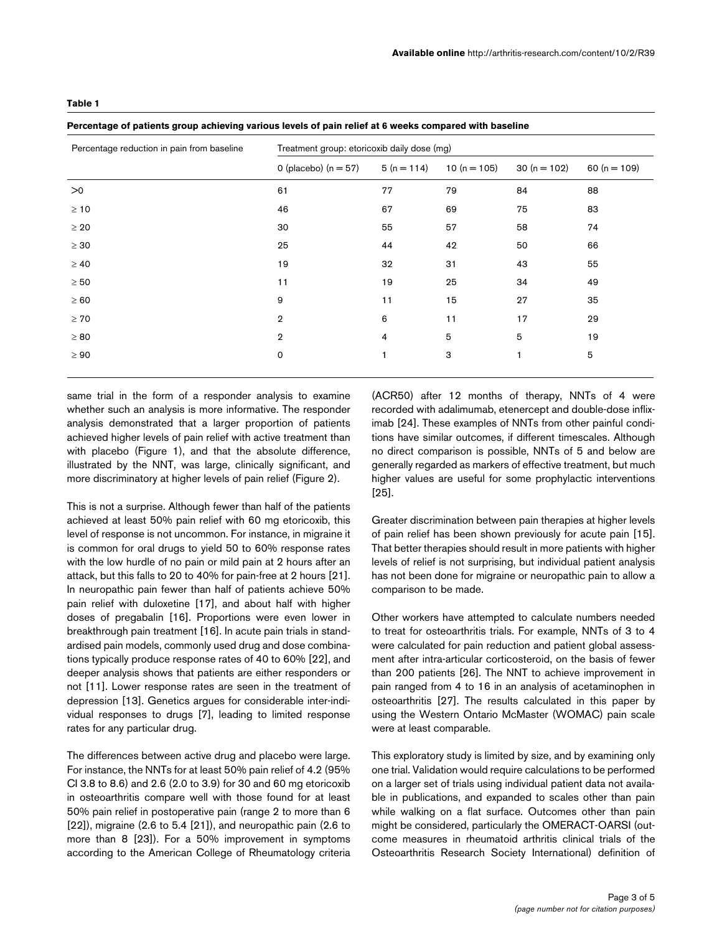#### **Table 1**

#### **Percentage of patients group achieving various levels of pain relief at 6 weeks compared with baseline**

| Percentage reduction in pain from baseline | Treatment group: etoricoxib daily dose (mg) |              |                  |               |                |
|--------------------------------------------|---------------------------------------------|--------------|------------------|---------------|----------------|
|                                            | 0 (placebo) ( $n = 57$ )                    | $5(n = 114)$ | 10 ( $n = 105$ ) | $30(n = 102)$ | 60 $(n = 109)$ |
| >0                                         | 61                                          | 77           | 79               | 84            | 88             |
| $\geq 10$                                  | 46                                          | 67           | 69               | 75            | 83             |
| $\geq 20$                                  | 30                                          | 55           | 57               | 58            | 74             |
| $\geq 30$                                  | 25                                          | 44           | 42               | 50            | 66             |
| $\geq 40$                                  | 19                                          | 32           | 31               | 43            | 55             |
| $\geq 50$                                  | 11                                          | 19           | 25               | 34            | 49             |
| $\geq 60$                                  | 9                                           | 11           | 15               | 27            | 35             |
| $\geq 70$                                  | $\overline{2}$                              | 6            | 11               | 17            | 29             |
| $\geq 80$                                  | $\overline{2}$                              | 4            | 5                | 5             | 19             |
| $\geq 90$                                  | $\mathbf 0$                                 | 1            | 3                | $\mathbf{1}$  | 5              |
|                                            |                                             |              |                  |               |                |

same trial in the form of a responder analysis to examine whether such an analysis is more informative. The responder analysis demonstrated that a larger proportion of patients achieved higher levels of pain relief with active treatment than with placebo (Figure 1), and that the absolute difference, illustrated by the NNT, was large, clinically significant, and more discriminatory at higher levels of pain relief (Figure 2).

This is not a surprise. Although fewer than half of the patients achieved at least 50% pain relief with 60 mg etoricoxib, this level of response is not uncommon. For instance, in migraine it is common for oral drugs to yield 50 to 60% response rates with the low hurdle of no pain or mild pain at 2 hours after an attack, but this falls to 20 to 40% for pain-free at 2 hours [21]. In neuropathic pain fewer than half of patients achieve 50% pain relief with duloxetine [17], and about half with higher doses of pregabalin [16]. Proportions were even lower in breakthrough pain treatment [16]. In acute pain trials in standardised pain models, commonly used drug and dose combinations typically produce response rates of 40 to 60% [22], and deeper analysis shows that patients are either responders or not [11]. Lower response rates are seen in the treatment of depression [13]. Genetics argues for considerable inter-individual responses to drugs [7], leading to limited response rates for any particular drug.

The differences between active drug and placebo were large. For instance, the NNTs for at least 50% pain relief of 4.2 (95% CI 3.8 to 8.6) and 2.6 (2.0 to 3.9) for 30 and 60 mg etoricoxib in osteoarthritis compare well with those found for at least 50% pain relief in postoperative pain (range 2 to more than 6 [22]), migraine (2.6 to 5.4 [21]), and neuropathic pain (2.6 to more than 8 [23]). For a 50% improvement in symptoms according to the American College of Rheumatology criteria

(ACR50) after 12 months of therapy, NNTs of 4 were recorded with adalimumab, etenercept and double-dose infliximab [24]. These examples of NNTs from other painful conditions have similar outcomes, if different timescales. Although no direct comparison is possible, NNTs of 5 and below are generally regarded as markers of effective treatment, but much higher values are useful for some prophylactic interventions [25].

Greater discrimination between pain therapies at higher levels of pain relief has been shown previously for acute pain [15]. That better therapies should result in more patients with higher levels of relief is not surprising, but individual patient analysis has not been done for migraine or neuropathic pain to allow a comparison to be made.

Other workers have attempted to calculate numbers needed to treat for osteoarthritis trials. For example, NNTs of 3 to 4 were calculated for pain reduction and patient global assessment after intra-articular corticosteroid, on the basis of fewer than 200 patients [26]. The NNT to achieve improvement in pain ranged from 4 to 16 in an analysis of acetaminophen in osteoarthritis [27]. The results calculated in this paper by using the Western Ontario McMaster (WOMAC) pain scale were at least comparable.

This exploratory study is limited by size, and by examining only one trial. Validation would require calculations to be performed on a larger set of trials using individual patient data not available in publications, and expanded to scales other than pain while walking on a flat surface. Outcomes other than pain might be considered, particularly the OMERACT-OARSI (outcome measures in rheumatoid arthritis clinical trials of the Osteoarthritis Research Society International) definition of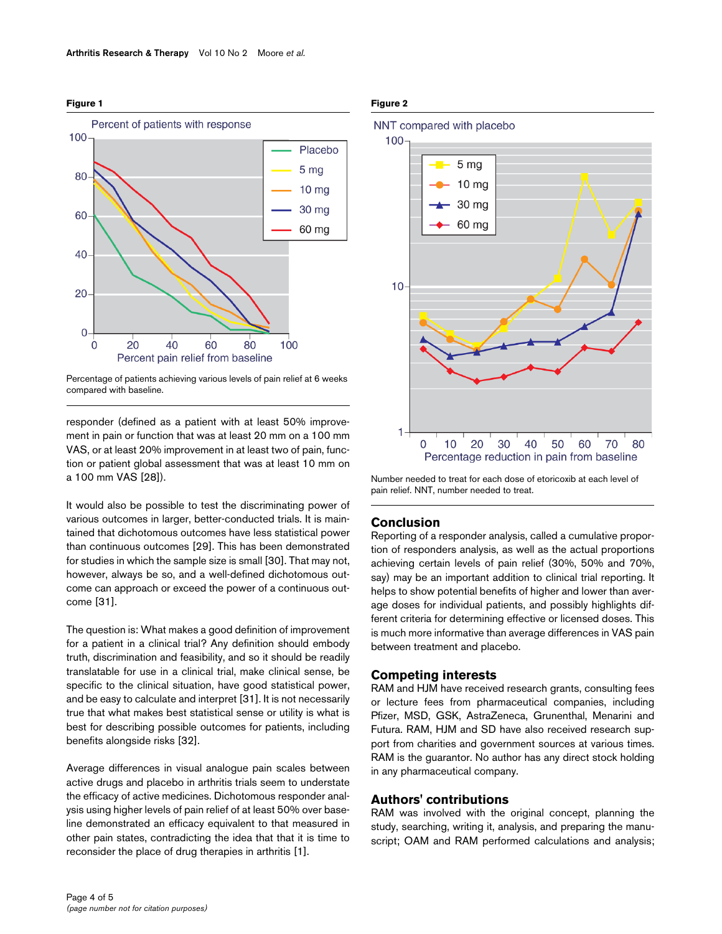

#### **Figure 1**

Percentage of patients achieving various levels of pain relief at 6 weeks compared with baseline.

responder (defined as a patient with at least 50% improvement in pain or function that was at least 20 mm on a 100 mm VAS, or at least 20% improvement in at least two of pain, function or patient global assessment that was at least 10 mm on a 100 mm VAS [28]).

It would also be possible to test the discriminating power of various outcomes in larger, better-conducted trials. It is maintained that dichotomous outcomes have less statistical power than continuous outcomes [29]. This has been demonstrated for studies in which the sample size is small [30]. That may not, however, always be so, and a well-defined dichotomous outcome can approach or exceed the power of a continuous outcome [31].

The question is: What makes a good definition of improvement for a patient in a clinical trial? Any definition should embody truth, discrimination and feasibility, and so it should be readily translatable for use in a clinical trial, make clinical sense, be specific to the clinical situation, have good statistical power, and be easy to calculate and interpret [31]. It is not necessarily true that what makes best statistical sense or utility is what is best for describing possible outcomes for patients, including benefits alongside risks [32].

Average differences in visual analogue pain scales between active drugs and placebo in arthritis trials seem to understate the efficacy of active medicines. Dichotomous responder analysis using higher levels of pain relief of at least 50% over baseline demonstrated an efficacy equivalent to that measured in other pain states, contradicting the idea that that it is time to reconsider the place of drug therapies in arthritis [1].

## **Figure 2**



Number needed to treat for each dose of etoricoxib at each level of pain relief. NNT, number needed to treat.

## **Conclusion**

Reporting of a responder analysis, called a cumulative proportion of responders analysis, as well as the actual proportions achieving certain levels of pain relief (30%, 50% and 70%, say) may be an important addition to clinical trial reporting. It helps to show potential benefits of higher and lower than average doses for individual patients, and possibly highlights different criteria for determining effective or licensed doses. This is much more informative than average differences in VAS pain between treatment and placebo.

# **Competing interests**

RAM and HJM have received research grants, consulting fees or lecture fees from pharmaceutical companies, including Pfizer, MSD, GSK, AstraZeneca, Grunenthal, Menarini and Futura. RAM, HJM and SD have also received research support from charities and government sources at various times. RAM is the guarantor. No author has any direct stock holding in any pharmaceutical company.

## **Authors' contributions**

RAM was involved with the original concept, planning the study, searching, writing it, analysis, and preparing the manuscript; OAM and RAM performed calculations and analysis;